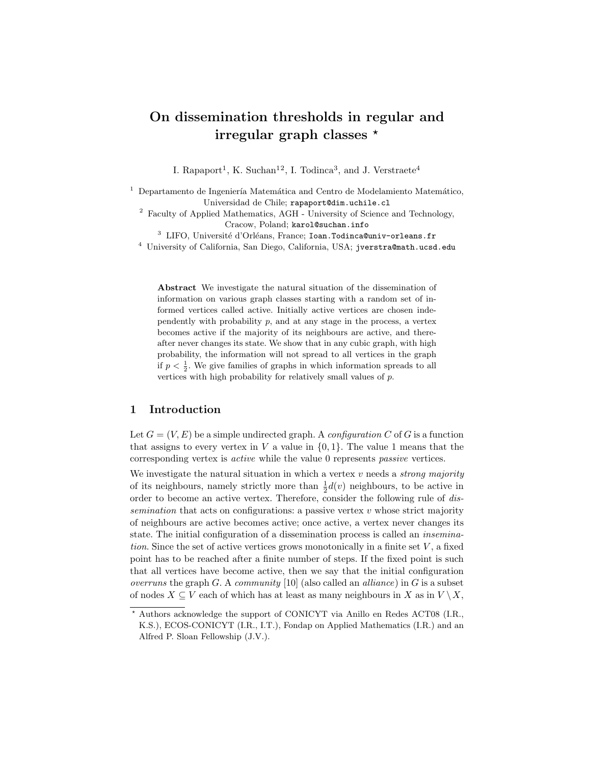# On dissemination thresholds in regular and irregular graph classes  $*$

I. Rapaport<sup>1</sup>, K. Suchan<sup>12</sup>, I. Todinca<sup>3</sup>, and J. Verstraete<sup>4</sup>

Departamento de Ingeniería Matemática and Centro de Modelamiento Matemático, Universidad de Chile; rapaport@dim.uchile.cl

<sup>2</sup> Faculty of Applied Mathematics, AGH - University of Science and Technology, Cracow, Poland; karol@suchan.info

 $3$  LIFO, Université d'Orléans, France; Ioan.Todinca@univ-orleans.fr

<sup>4</sup> University of California, San Diego, California, USA; jverstra@math.ucsd.edu

Abstract We investigate the natural situation of the dissemination of information on various graph classes starting with a random set of informed vertices called active. Initially active vertices are chosen independently with probability  $p$ , and at any stage in the process, a vertex becomes active if the majority of its neighbours are active, and thereafter never changes its state. We show that in any cubic graph, with high probability, the information will not spread to all vertices in the graph if  $p < \frac{1}{2}$ . We give families of graphs in which information spreads to all vertices with high probability for relatively small values of p.

### 1 Introduction

Let  $G = (V, E)$  be a simple undirected graph. A *configuration* C of G is a function that assigns to every vertex in V a value in  $\{0, 1\}$ . The value 1 means that the corresponding vertex is active while the value 0 represents passive vertices.

We investigate the natural situation in which a vertex  $v$  needs a *strong majority* of its neighbours, namely strictly more than  $\frac{1}{2}d(v)$  neighbours, to be active in order to become an active vertex. Therefore, consider the following rule of dissemination that acts on configurations: a passive vertex  $v$  whose strict majority of neighbours are active becomes active; once active, a vertex never changes its state. The initial configuration of a dissemination process is called an insemination. Since the set of active vertices grows monotonically in a finite set  $V$ , a fixed point has to be reached after a finite number of steps. If the fixed point is such that all vertices have become active, then we say that the initial configuration overruns the graph G. A community [10] (also called an *alliance*) in G is a subset of nodes  $X \subseteq V$  each of which has at least as many neighbours in X as in  $V \setminus X$ ,

<sup>?</sup> Authors acknowledge the support of CONICYT via Anillo en Redes ACT08 (I.R., K.S.), ECOS-CONICYT (I.R., I.T.), Fondap on Applied Mathematics (I.R.) and an Alfred P. Sloan Fellowship (J.V.).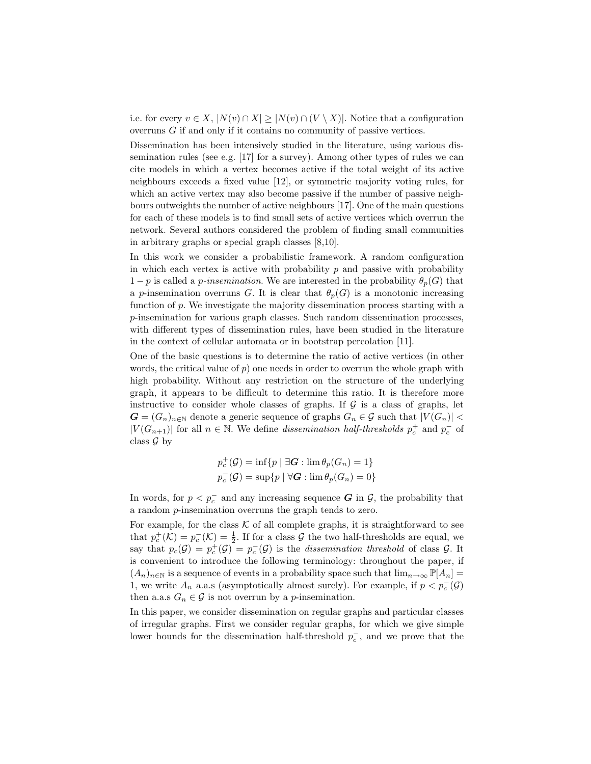i.e. for every  $v \in X$ ,  $|N(v) \cap X| \geq |N(v) \cap (V \setminus X)|$ . Notice that a configuration overruns G if and only if it contains no community of passive vertices.

Dissemination has been intensively studied in the literature, using various dissemination rules (see e.g. [17] for a survey). Among other types of rules we can cite models in which a vertex becomes active if the total weight of its active neighbours exceeds a fixed value [12], or symmetric majority voting rules, for which an active vertex may also become passive if the number of passive neighbours outweights the number of active neighbours [17]. One of the main questions for each of these models is to find small sets of active vertices which overrun the network. Several authors considered the problem of finding small communities in arbitrary graphs or special graph classes [8,10].

In this work we consider a probabilistic framework. A random configuration in which each vertex is active with probability  $p$  and passive with probability  $1-p$  is called a *p-insemination*. We are interested in the probability  $\theta_p(G)$  that a p-insemination overruns G. It is clear that  $\theta_p(G)$  is a monotonic increasing function of p. We investigate the majority dissemination process starting with a p-insemination for various graph classes. Such random dissemination processes, with different types of dissemination rules, have been studied in the literature in the context of cellular automata or in bootstrap percolation [11].

One of the basic questions is to determine the ratio of active vertices (in other words, the critical value of  $p$ ) one needs in order to overrun the whole graph with high probability. Without any restriction on the structure of the underlying graph, it appears to be difficult to determine this ratio. It is therefore more instructive to consider whole classes of graphs. If  $\mathcal G$  is a class of graphs, let  $G = (G_n)_{n \in \mathbb{N}}$  denote a generic sequence of graphs  $G_n \in \mathcal{G}$  such that  $|V(G_n)| <$  $|V(G_{n+1})|$  for all  $n \in \mathbb{N}$ . We define *dissemination half-thresholds*  $p_c^+$  and  $p_c^-$  of class  $\mathcal G$  by

$$
p_c^+(\mathcal{G}) = \inf\{p \mid \exists \mathbf{G} : \lim \theta_p(G_n) = 1\}
$$
  

$$
p_c^-(\mathcal{G}) = \sup\{p \mid \forall \mathbf{G} : \lim \theta_p(G_n) = 0\}
$$

In words, for  $p < p_c^-$  and any increasing sequence  $G$  in  $\mathcal{G}$ , the probability that a random p-insemination overruns the graph tends to zero.

For example, for the class  $K$  of all complete graphs, it is straightforward to see that  $p_c^+(\mathcal{K}) = p_c^-(\mathcal{K}) = \frac{1}{2}$ . If for a class  $\mathcal G$  the two half-thresholds are equal, we say that  $p_c(G) = p_c^+(G) = p_c^-(G)$  is the dissemination threshold of class G. It is convenient to introduce the following terminology: throughout the paper, if  $(A_n)_{n\in\mathbb{N}}$  is a sequence of events in a probability space such that  $\lim_{n\to\infty} \mathbb{P}[A_n] =$ 1, we write  $A_n$  a.a.s (asymptotically almost surely). For example, if  $p < p<sub>c</sub>(\mathcal{G})$ then a.a.s  $G_n \in \mathcal{G}$  is not overrun by a *p*-insemination.

In this paper, we consider dissemination on regular graphs and particular classes of irregular graphs. First we consider regular graphs, for which we give simple lower bounds for the dissemination half-threshold  $p_c^-$ , and we prove that the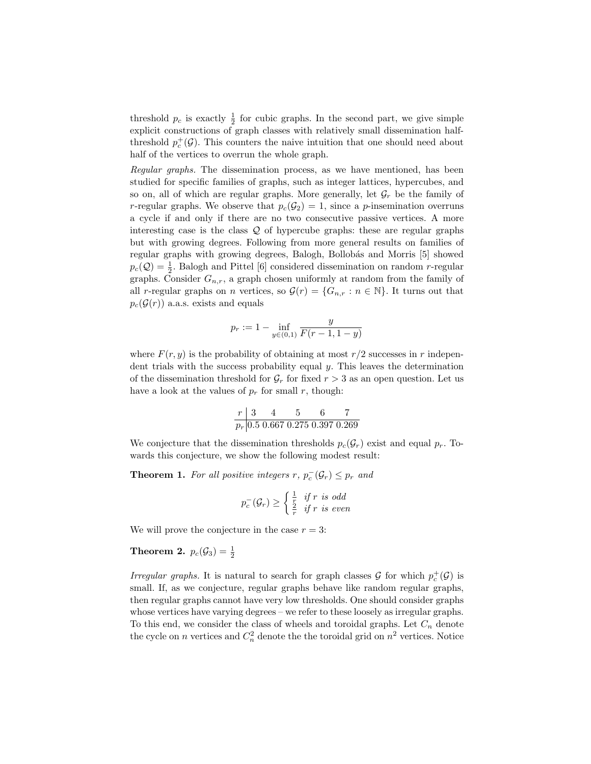threshold  $p_c$  is exactly  $\frac{1}{2}$  for cubic graphs. In the second part, we give simple explicit constructions of graph classes with relatively small dissemination halfthreshold  $p_c^+(\mathcal{G})$ . This counters the naive intuition that one should need about half of the vertices to overrun the whole graph.

Regular graphs. The dissemination process, as we have mentioned, has been studied for specific families of graphs, such as integer lattices, hypercubes, and so on, all of which are regular graphs. More generally, let  $\mathcal{G}_r$  be the family of r-regular graphs. We observe that  $p_c(\mathcal{G}_2) = 1$ , since a p-insemination overruns a cycle if and only if there are no two consecutive passive vertices. A more interesting case is the class  $Q$  of hypercube graphs: these are regular graphs but with growing degrees. Following from more general results on families of regular graphs with growing degrees, Balogh, Bollobás and Morris [5] showed  $p_c(Q) = \frac{1}{2}$ . Balogh and Pittel [6] considered dissemination on random *r*-regular graphs. Consider  $G_{n,r}$ , a graph chosen uniformly at random from the family of all r-regular graphs on n vertices, so  $\mathcal{G}(r) = \{G_{n,r} : n \in \mathbb{N}\}\.$  It turns out that  $p_c(\mathcal{G}(r))$  a.a.s. exists and equals

$$
p_r := 1 - \inf_{y \in (0,1)} \frac{y}{F(r-1, 1-y)}
$$

where  $F(r, y)$  is the probability of obtaining at most  $r/2$  successes in r independent trials with the success probability equal  $y$ . This leaves the determination of the dissemination threshold for  $\mathcal{G}_r$  for fixed  $r > 3$  as an open question. Let us have a look at the values of  $p_r$  for small r, though:

$$
\begin{array}{c|cc}\nr & 3 & 4 & 5 & 6 & 7 \\
\hline\np_r & 0.5 & 0.667 & 0.275 & 0.397 & 0.269\n\end{array}
$$

We conjecture that the dissemination thresholds  $p_c(\mathcal{G}_r)$  exist and equal  $p_r$ . Towards this conjecture, we show the following modest result:

**Theorem 1.** For all positive integers  $r, p_c^-(\mathcal{G}_r) \leq p_r$  and

$$
p_c^-(\mathcal{G}_r) \ge \begin{cases} \frac{1}{r} & \text{if } r \text{ is odd} \\ \frac{2}{r} & \text{if } r \text{ is even} \end{cases}
$$

We will prove the conjecture in the case  $r = 3$ :

## **Theorem 2.**  $p_c(\mathcal{G}_3) = \frac{1}{2}$

Irregular graphs. It is natural to search for graph classes  $\mathcal G$  for which  $p_c^+(\mathcal G)$  is small. If, as we conjecture, regular graphs behave like random regular graphs, then regular graphs cannot have very low thresholds. One should consider graphs whose vertices have varying degrees – we refer to these loosely as irregular graphs. To this end, we consider the class of wheels and toroidal graphs. Let  $C_n$  denote the cycle on *n* vertices and  $C_n^2$  denote the the toroidal grid on  $n^2$  vertices. Notice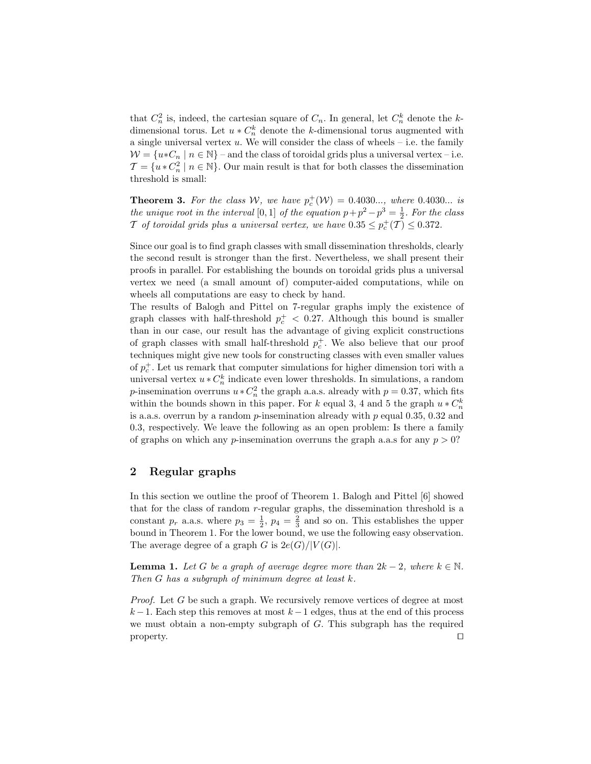that  $C_n^2$  is, indeed, the cartesian square of  $C_n$ . In general, let  $C_n^k$  denote the kdimensional torus. Let  $u * C_n^k$  denote the k-dimensional torus augmented with a single universal vertex  $u$ . We will consider the class of wheels – i.e. the family  $W = \{u * C_n \mid n \in \mathbb{N}\}\$  – and the class of toroidal grids plus a universal vertex – i.e.  $\mathcal{T} = \{u * C_n^2 \mid n \in \mathbb{N}\}\.$  Our main result is that for both classes the dissemination threshold is small:

**Theorem 3.** For the class W, we have  $p_c^+(\mathcal{W}) = 0.4030...$ , where 0.4030... is the unique root in the interval [0, 1] of the equation  $p + p^2 - p^3 = \frac{1}{2}$ . For the class T of toroidal grids plus a universal vertex, we have  $0.35 \le p_c^+(T) \le 0.372$ .

Since our goal is to find graph classes with small dissemination thresholds, clearly the second result is stronger than the first. Nevertheless, we shall present their proofs in parallel. For establishing the bounds on toroidal grids plus a universal vertex we need (a small amount of) computer-aided computations, while on wheels all computations are easy to check by hand.

The results of Balogh and Pittel on 7-regular graphs imply the existence of graph classes with half-threshold  $p_c^+$  < 0.27. Although this bound is smaller than in our case, our result has the advantage of giving explicit constructions of graph classes with small half-threshold  $p_c^+$ . We also believe that our proof techniques might give new tools for constructing classes with even smaller values of  $p_c^+$ . Let us remark that computer simulations for higher dimension tori with a universal vertex  $u * C_n^k$  indicate even lower thresholds. In simulations, a random p-insemination overruns  $u * C_n^2$  the graph a.a.s. already with  $p = 0.37$ , which fits within the bounds shown in this paper. For k equal 3, 4 and 5 the graph  $u * C_n^k$ is a.a.s. overrun by a random  $p$ -insemination already with  $p$  equal 0.35, 0.32 and 0.3, respectively. We leave the following as an open problem: Is there a family of graphs on which any *p*-insemination overruns the graph a.a.s for any  $p > 0$ ?

## 2 Regular graphs

In this section we outline the proof of Theorem 1. Balogh and Pittel [6] showed that for the class of random  $r$ -regular graphs, the dissemination threshold is a constant  $p_r$  a.a.s. where  $p_3 = \frac{1}{2}$ ,  $p_4 = \frac{2}{3}$  and so on. This establishes the upper bound in Theorem 1. For the lower bound, we use the following easy observation. The average degree of a graph G is  $2e(G)/|V(G)|$ .

**Lemma 1.** Let G be a graph of average degree more than  $2k - 2$ , where  $k \in \mathbb{N}$ . Then  $G$  has a subgraph of minimum degree at least  $k$ .

Proof. Let G be such a graph. We recursively remove vertices of degree at most  $k-1$ . Each step this removes at most  $k-1$  edges, thus at the end of this process we must obtain a non-empty subgraph of  $G$ . This subgraph has the required  $\Box$  property.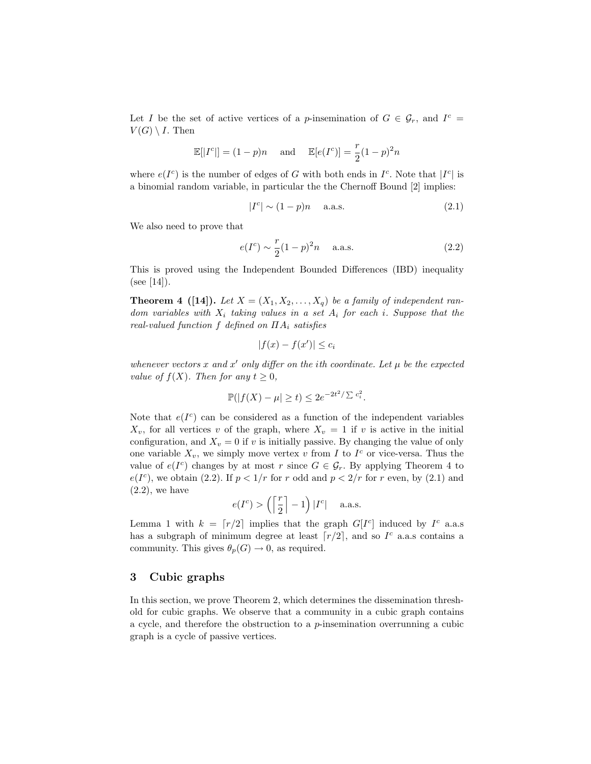Let I be the set of active vertices of a p-insemination of  $G \in \mathcal{G}_r$ , and  $I^c =$  $V(G) \setminus I$ . Then

$$
\mathbb{E}[|I^c|] = (1-p)n \quad \text{and} \quad \mathbb{E}[e(I^c)] = \frac{r}{2}(1-p)^2n
$$

where  $e(I^c)$  is the number of edges of G with both ends in  $I^c$ . Note that  $|I^c|$  is a binomial random variable, in particular the the Chernoff Bound [2] implies:

$$
|I^c| \sim (1 - p)n \quad \text{a.a.s.} \tag{2.1}
$$

We also need to prove that

$$
e(I^c) \sim \frac{r}{2}(1-p)^2 n \quad \text{a.a.s.} \tag{2.2}
$$

This is proved using the Independent Bounded Differences (IBD) inequality  $(see [14]).$ 

**Theorem 4** ([14]). Let  $X = (X_1, X_2, \ldots, X_q)$  be a family of independent random variables with  $X_i$  taking values in a set  $A_i$  for each i. Suppose that the real-valued function f defined on  $\Pi A_i$  satisfies

$$
|f(x) - f(x')| \le c_i
$$

whenever vectors x and x' only differ on the ith coordinate. Let  $\mu$  be the expected value of  $f(X)$ . Then for any  $t \geq 0$ ,

$$
\mathbb{P}(|f(X) - \mu| \ge t) \le 2e^{-2t^2/\sum c_i^2}.
$$

Note that  $e(I^c)$  can be considered as a function of the independent variables  $X_v$ , for all vertices v of the graph, where  $X_v = 1$  if v is active in the initial configuration, and  $X_v = 0$  if v is initially passive. By changing the value of only one variable  $X_v$ , we simply move vertex v from I to  $I^c$  or vice-versa. Thus the value of  $e(I^c)$  changes by at most r since  $G \in \mathcal{G}_r$ . By applying Theorem 4 to  $e(I^c)$ , we obtain (2.2). If  $p < 1/r$  for r odd and  $p < 2/r$  for r even, by (2.1) and  $(2.2)$ , we have

$$
e(I^c) > \left(\left\lceil \frac{r}{2} \right\rceil - 1\right)|I^c| \quad \text{ a.a.s.}
$$

Lemma 1 with  $k = \lfloor r/2 \rfloor$  implies that the graph  $G[I<sup>c</sup>]$  induced by  $I<sup>c</sup>$  a.a.s has a subgraph of minimum degree at least  $\lceil r/2 \rceil$ , and so  $I<sup>c</sup>$  a.a.s contains a community. This gives  $\theta_p(G) \to 0$ , as required.

## 3 Cubic graphs

In this section, we prove Theorem 2, which determines the dissemination threshold for cubic graphs. We observe that a community in a cubic graph contains a cycle, and therefore the obstruction to a  $p$ -insemination overrunning a cubic graph is a cycle of passive vertices.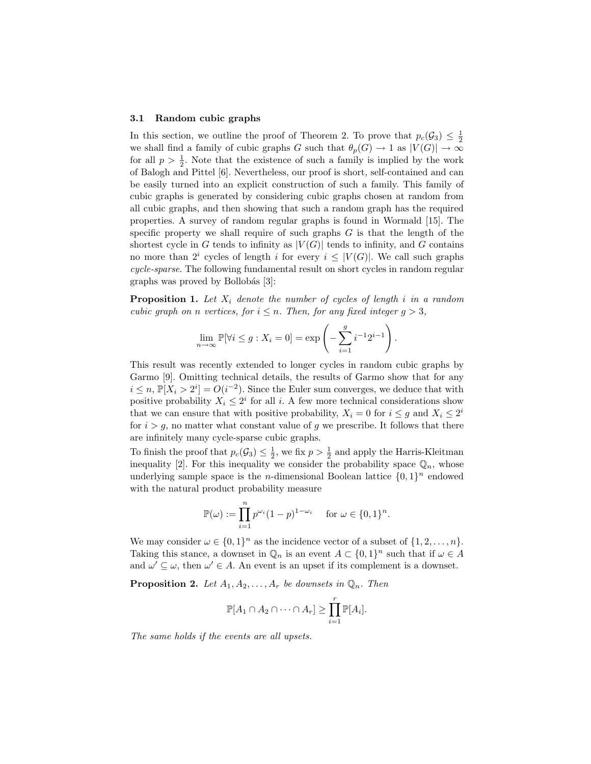#### 3.1 Random cubic graphs

In this section, we outline the proof of Theorem 2. To prove that  $p_c(\mathcal{G}_3) \leq \frac{1}{2}$ we shall find a family of cubic graphs G such that  $\theta_p(G) \to 1$  as  $|V(G)| \to \infty$ for all  $p > \frac{1}{2}$ . Note that the existence of such a family is implied by the work of Balogh and Pittel [6]. Nevertheless, our proof is short, self-contained and can be easily turned into an explicit construction of such a family. This family of cubic graphs is generated by considering cubic graphs chosen at random from all cubic graphs, and then showing that such a random graph has the required properties. A survey of random regular graphs is found in Wormald [15]. The specific property we shall require of such graphs  $G$  is that the length of the shortest cycle in G tends to infinity as  $|V(G)|$  tends to infinity, and G contains no more than  $2^i$  cycles of length i for every  $i \leq |V(G)|$ . We call such graphs cycle-sparse. The following fundamental result on short cycles in random regular graphs was proved by Bollobás [3]:

**Proposition 1.** Let  $X_i$  denote the number of cycles of length i in a random cubic graph on n vertices, for  $i \leq n$ . Then, for any fixed integer  $g > 3$ ,

$$
\lim_{n \to \infty} \mathbb{P}[\forall i \le g : X_i = 0] = \exp\left(-\sum_{i=1}^g i^{-1} 2^{i-1}\right).
$$

This result was recently extended to longer cycles in random cubic graphs by Garmo [9]. Omitting technical details, the results of Garmo show that for any  $i \leq n$ ,  $\mathbb{P}[X_i > 2^i] = O(i^{-2})$ . Since the Euler sum converges, we deduce that with positive probability  $X_i \leq 2^i$  for all i. A few more technical considerations show that we can ensure that with positive probability,  $X_i = 0$  for  $i \leq g$  and  $X_i \leq 2^i$ for  $i > g$ , no matter what constant value of g we prescribe. It follows that there are infinitely many cycle-sparse cubic graphs.

To finish the proof that  $p_c(\mathcal{G}_3) \leq \frac{1}{2}$ , we fix  $p > \frac{1}{2}$  and apply the Harris-Kleitman inequality [2]. For this inequality we consider the probability space  $\mathbb{Q}_n$ , whose underlying sample space is the *n*-dimensional Boolean lattice  $\{0,1\}^n$  endowed with the natural product probability measure

$$
\mathbb{P}(\omega) := \prod_{i=1}^{n} p^{\omega_i} (1-p)^{1-\omega_i} \quad \text{for } \omega \in \{0,1\}^n.
$$

We may consider  $\omega \in \{0,1\}^n$  as the incidence vector of a subset of  $\{1,2,\ldots,n\}$ . Taking this stance, a downset in  $\mathbb{Q}_n$  is an event  $A \subset \{0,1\}^n$  such that if  $\omega \in A$ and  $\omega' \subseteq \omega$ , then  $\omega' \in A$ . An event is an upset if its complement is a downset.

**Proposition 2.** Let  $A_1, A_2, \ldots, A_r$  be downsets in  $\mathbb{Q}_n$ . Then

$$
\mathbb{P}[A_1 \cap A_2 \cap \cdots \cap A_r] \geq \prod_{i=1}^r \mathbb{P}[A_i].
$$

The same holds if the events are all upsets.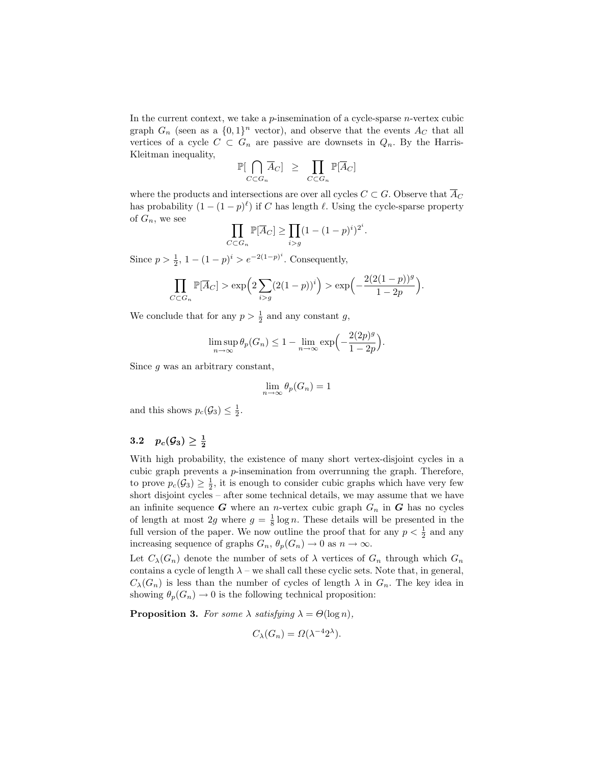In the current context, we take a  $p$ -insemination of a cycle-sparse  $n$ -vertex cubic graph  $G_n$  (seen as a  $\{0,1\}^n$  vector), and observe that the events  $A_C$  that all vertices of a cycle  $C \subset G_n$  are passive are downsets in  $Q_n$ . By the Harris-Kleitman inequality,

$$
\mathbb{P}[\bigcap_{C \subset G_n} \overline{A}_C] \geq \prod_{C \subset G_n} \mathbb{P}[\overline{A}_C]
$$

where the products and intersections are over all cycles  $C \subset G$ . Observe that  $\overline{A}_C$ has probability  $(1 - (1 - p)^{\ell})$  if C has length  $\ell$ . Using the cycle-sparse property of  $G_n$ , we see

$$
\prod_{C \subset G_n} \mathbb{P}[\overline{A}_C] \ge \prod_{i > g} (1 - (1 - p)^i)^{2^i}.
$$

Since  $p > \frac{1}{2}$ ,  $1 - (1 - p)^i > e^{-2(1 - p)^i}$ . Consequently,

$$
\prod_{C \subset G_n} \mathbb{P}[\overline{A}_C] > \exp\left(2\sum_{i > g} (2(1-p))^i\right) > \exp\left(-\frac{2(2(1-p))^g}{1-2p}\right).
$$

We conclude that for any  $p > \frac{1}{2}$  and any constant g,

$$
\limsup_{n \to \infty} \theta_p(G_n) \le 1 - \lim_{n \to \infty} \exp\left(-\frac{2(2p)^g}{1 - 2p}\right).
$$

Since g was an arbitrary constant,

$$
\lim_{n \to \infty} \theta_p(G_n) = 1
$$

and this shows  $p_c(\mathcal{G}_3) \leq \frac{1}{2}$ .

## $3.2\quad p_c(\mathcal{G}_3)\geq \frac{1}{2}$

With high probability, the existence of many short vertex-disjoint cycles in a cubic graph prevents a p-insemination from overrunning the graph. Therefore, to prove  $p_c(\mathcal{G}_3) \geq \frac{1}{2}$ , it is enough to consider cubic graphs which have very few short disjoint cycles – after some technical details, we may assume that we have an infinite sequence  $G$  where an *n*-vertex cubic graph  $G_n$  in  $G$  has no cycles of length at most 2g where  $g = \frac{1}{8} \log n$ . These details will be presented in the full version of the paper. We now outline the proof that for any  $p < \frac{1}{2}$  and any increasing sequence of graphs  $G_n$ ,  $\theta_p(G_n) \to 0$  as  $n \to \infty$ .

Let  $C_{\lambda}(G_n)$  denote the number of sets of  $\lambda$  vertices of  $G_n$  through which  $G_n$ contains a cycle of length  $\lambda$  – we shall call these cyclic sets. Note that, in general,  $C_{\lambda}(G_n)$  is less than the number of cycles of length  $\lambda$  in  $G_n$ . The key idea in showing  $\theta_n(G_n) \to 0$  is the following technical proposition:

**Proposition 3.** For some  $\lambda$  satisfying  $\lambda = \Theta(\log n)$ ,

$$
C_{\lambda}(G_n) = \Omega(\lambda^{-4} 2^{\lambda}).
$$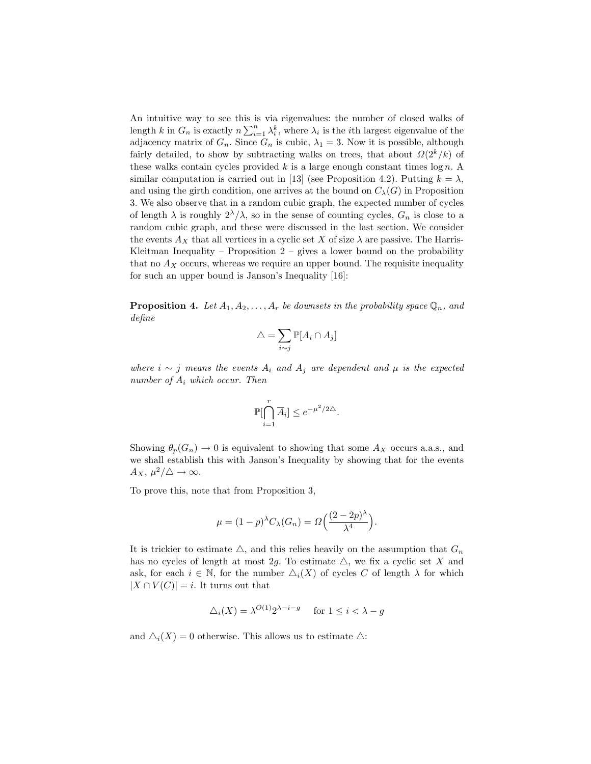An intuitive way to see this is via eigenvalues: the number of closed walks of length k in  $G_n$  is exactly  $n \sum_{i=1}^n \lambda_i^k$ , where  $\lambda_i$  is the *i*th largest eigenvalue of the adjacency matrix of  $G_n$ . Since  $G_n$  is cubic,  $\lambda_1 = 3$ . Now it is possible, although fairly detailed, to show by subtracting walks on trees, that about  $\Omega(2^k/k)$  of these walks contain cycles provided  $k$  is a large enough constant times  $\log n$ . A similar computation is carried out in [13] (see Proposition 4.2). Putting  $k = \lambda$ , and using the girth condition, one arrives at the bound on  $C_{\lambda}(G)$  in Proposition 3. We also observe that in a random cubic graph, the expected number of cycles of length  $\lambda$  is roughly  $2^{\lambda}/\lambda$ , so in the sense of counting cycles,  $G_n$  is close to a random cubic graph, and these were discussed in the last section. We consider the events  $A_X$  that all vertices in a cyclic set X of size  $\lambda$  are passive. The Harris-Kleitman Inequality – Proposition  $2$  – gives a lower bound on the probability that no  $A_X$  occurs, whereas we require an upper bound. The requisite inequality for such an upper bound is Janson's Inequality [16]:

**Proposition 4.** Let  $A_1, A_2, \ldots, A_r$  be downsets in the probability space  $\mathbb{Q}_n$ , and define

$$
\triangle = \sum_{i \sim j} \mathbb{P}[A_i \cap A_j]
$$

where  $i \sim j$  means the events  $A_i$  and  $A_j$  are dependent and  $\mu$  is the expected number of  $A_i$  which occur. Then

$$
\mathbb{P}[\bigcap_{i=1}^r \overline{A}_i] \le e^{-\mu^2/2\triangle}.
$$

Showing  $\theta_p(G_n) \to 0$  is equivalent to showing that some  $A_X$  occurs a.a.s., and we shall establish this with Janson's Inequality by showing that for the events  $A_X, \,\mu^2/\triangle \rightarrow \infty.$ 

To prove this, note that from Proposition 3,

$$
\mu = (1-p)^{\lambda} C_{\lambda}(G_n) = \Omega\left(\frac{(2-2p)^{\lambda}}{\lambda^4}\right).
$$

It is trickier to estimate  $\triangle$ , and this relies heavily on the assumption that  $G_n$ has no cycles of length at most 2g. To estimate  $\triangle$ , we fix a cyclic set X and ask, for each  $i \in \mathbb{N}$ , for the number  $\Delta_i(X)$  of cycles C of length  $\lambda$  for which  $|X \cap V(C)| = i$ . It turns out that

$$
\Delta_i(X) = \lambda^{O(1)} 2^{\lambda - i - g} \quad \text{ for } 1 \le i < \lambda - g
$$

and  $\Delta_i(X) = 0$  otherwise. This allows us to estimate  $\Delta$ :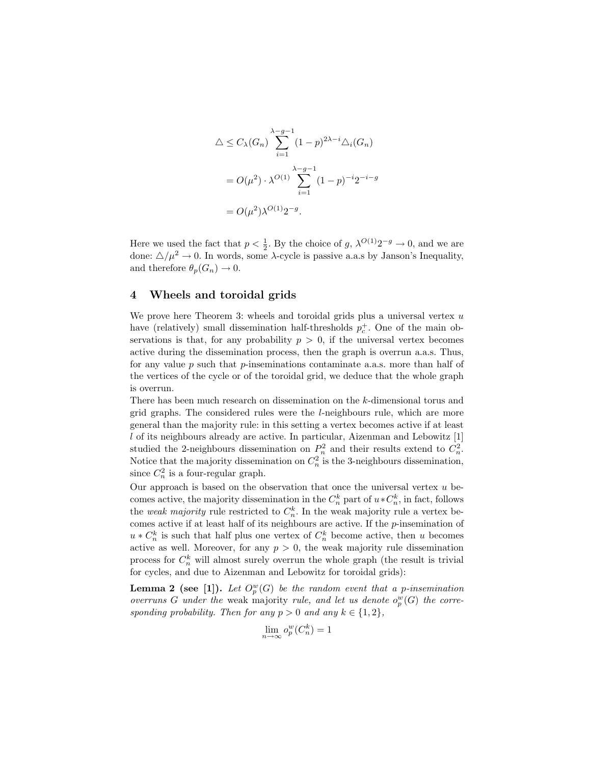$$
\Delta \le C_{\lambda}(G_n) \sum_{i=1}^{\lambda - g - 1} (1 - p)^{2\lambda - i} \Delta_i(G_n)
$$

$$
= O(\mu^2) \cdot \lambda^{O(1)} \sum_{i=1}^{\lambda - g - 1} (1 - p)^{-i} 2^{-i - g}
$$

$$
= O(\mu^2) \lambda^{O(1)} 2^{-g}.
$$

Here we used the fact that  $p < \frac{1}{2}$ . By the choice of g,  $\lambda^{O(1)}2^{-g} \to 0$ , and we are done:  $\Delta/\mu^2 \rightarrow 0$ . In words, some  $\lambda$ -cycle is passive a.a.s by Janson's Inequality, and therefore  $\theta_p(G_n) \to 0$ .

### 4 Wheels and toroidal grids

We prove here Theorem 3: wheels and toroidal grids plus a universal vertex  $u$ have (relatively) small dissemination half-thresholds  $p_c^+$ . One of the main observations is that, for any probability  $p > 0$ , if the universal vertex becomes active during the dissemination process, then the graph is overrun a.a.s. Thus, for any value  $p$  such that  $p$ -inseminations contaminate a.s.s. more than half of the vertices of the cycle or of the toroidal grid, we deduce that the whole graph is overrun.

There has been much research on dissemination on the k-dimensional torus and grid graphs. The considered rules were the l-neighbours rule, which are more general than the majority rule: in this setting a vertex becomes active if at least l of its neighbours already are active. In particular, Aizenman and Lebowitz [1] studied the 2-neighbours dissemination on  $P_n^2$  and their results extend to  $C_n^2$ . Notice that the majority dissemination on  $C_n^2$  is the 3-neighbours dissemination, since  $C_n^2$  is a four-regular graph.

Our approach is based on the observation that once the universal vertex  $u$  becomes active, the majority dissemination in the  $C_n^k$  part of  $u * C_n^k$ , in fact, follows the *weak majority* rule restricted to  $C_n^k$ . In the weak majority rule a vertex becomes active if at least half of its neighbours are active. If the p-insemination of  $u * C_n^k$  is such that half plus one vertex of  $C_n^k$  become active, then u becomes active as well. Moreover, for any  $p > 0$ , the weak majority rule dissemination process for  $C_n^k$  will almost surely overrun the whole graph (the result is trivial for cycles, and due to Aizenman and Lebowitz for toroidal grids):

**Lemma 2** (see [1]). Let  $O_p^w(G)$  be the random event that a p-insemination overruns G under the weak majority rule, and let us denote  $o_p^w(G)$  the corresponding probability. Then for any  $p > 0$  and any  $k \in \{1, 2\},\$ 

$$
\lim_{n \to \infty} o_p^w(C_n^k) = 1
$$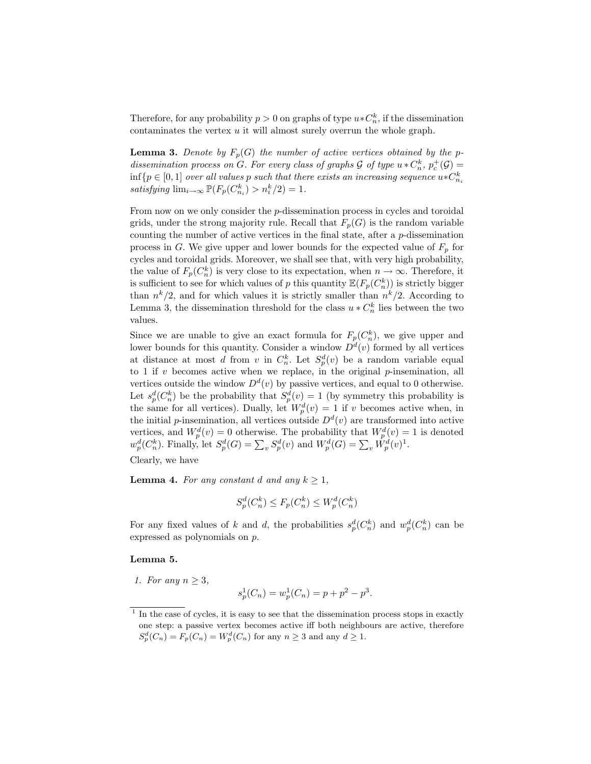Therefore, for any probability  $p > 0$  on graphs of type  $u * C_n^k$ , if the dissemination contaminates the vertex  $u$  it will almost surely overrun the whole graph.

**Lemma 3.** Denote by  $F_p(G)$  the number of active vertices obtained by the pdissemination process on G. For every class of graphs  $G$  of type  $u * C_n^k$ ,  $p_c^+(\mathcal{G}) =$  $\inf\{p\in [0,1] \text{ over all values } p \text{ such that there exists an increasing sequence } u*C^k_{n_i} \}$ satisfying  $\lim_{i \to \infty} \mathbb{P}(F_p(C_{n_i}^k) > n_i^k/2) = 1.$ 

From now on we only consider the p-dissemination process in cycles and toroidal grids, under the strong majority rule. Recall that  $F_p(G)$  is the random variable counting the number of active vertices in the final state, after a p-dissemination process in G. We give upper and lower bounds for the expected value of  $F_p$  for cycles and toroidal grids. Moreover, we shall see that, with very high probability, the value of  $F_p(C_n^k)$  is very close to its expectation, when  $n \to \infty$ . Therefore, it is sufficient to see for which values of p this quantity  $\mathbb{E}(F_p(C_n^k))$  is strictly bigger than  $n^k/2$ , and for which values it is strictly smaller than  $n^k/2$ . According to Lemma 3, the dissemination threshold for the class  $u * C_n^k$  lies between the two values.

Since we are unable to give an exact formula for  $F_p(C_n^k)$ , we give upper and lower bounds for this quantity. Consider a window  $D<sup>d</sup>(v)$  formed by all vertices at distance at most d from v in  $C_n^k$ . Let  $S_p^d(v)$  be a random variable equal to 1 if  $v$  becomes active when we replace, in the original  $p$ -insemination, all vertices outside the window  $D^d(v)$  by passive vertices, and equal to 0 otherwise. Let  $s_p^d(C_n^k)$  be the probability that  $S_p^d(v) = 1$  (by symmetry this probability is the same for all vertices). Dually, let  $W_p^d(v) = 1$  if v becomes active when, in the initial *p*-insemination, all vertices outside  $D<sup>d</sup>(v)$  are transformed into active vertices, and  $W_p^d(v) = 0$  otherwise. The probability that  $W_p^d(v) = 1$  is denoted  $w_p^d(C_n^k)$ . Finally, let  $S_p^d(G) = \sum_v S_p^d(v)$  and  $W_p^d(G) = \sum_v \hat{W}_p^d(v)^1$ .

Clearly, we have

**Lemma 4.** For any constant d and any  $k \geq 1$ ,

$$
S_p^d(C_n^k) \le F_p(C_n^k) \le W_p^d(C_n^k)
$$

For any fixed values of k and d, the probabilities  $s_p^d(C_n^k)$  and  $w_p^d(C_n^k)$  can be expressed as polynomials on p.

#### Lemma 5.

1. For any  $n \geq 3$ ,

$$
s_p^1(C_n) = w_p^1(C_n) = p + p^2 - p^3.
$$

<sup>&</sup>lt;sup>1</sup> In the case of cycles, it is easy to see that the dissemination process stops in exactly one step: a passive vertex becomes active iff both neighbours are active, therefore  $S_p^d(C_n) = F_p(C_n) = W_p^d(C_n)$  for any  $n \geq 3$  and any  $d \geq 1$ .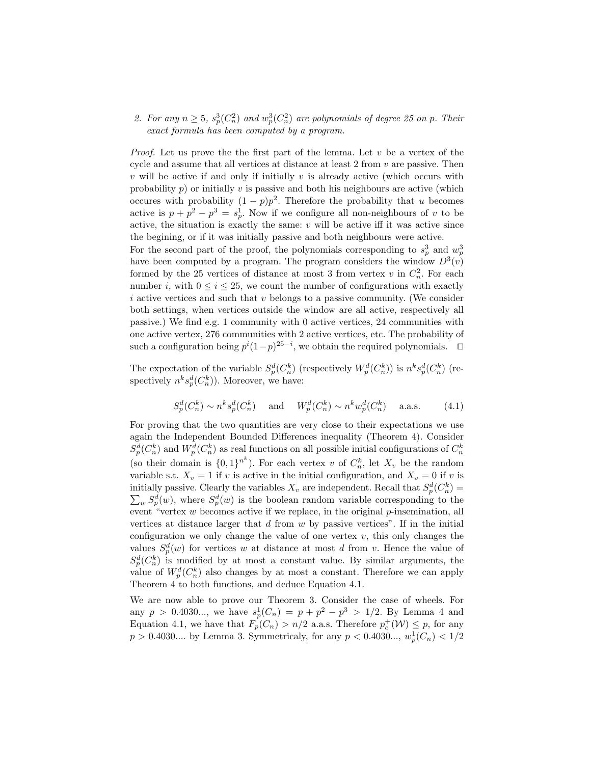2. For any  $n \geq 5$ ,  $s_p^3(C_n^2)$  and  $w_p^3(C_n^2)$  are polynomials of degree 25 on p. Their exact formula has been computed by a program.

*Proof.* Let us prove the the first part of the lemma. Let  $v$  be a vertex of the cycle and assume that all vertices at distance at least 2 from v are passive. Then  $v$  will be active if and only if initially  $v$  is already active (which occurs with probability  $p$ ) or initially v is passive and both his neighbours are active (which occures with probability  $(1-p)p^2$ . Therefore the probability that u becomes active is  $p + p^2 - p^3 = s_p^1$ . Now if we configure all non-neighbours of v to be active, the situation is exactly the same:  $v$  will be active iff it was active since the begining, or if it was initially passive and both neighbours were active. For the second part of the proof, the polynomials corresponding to  $s_p^3$  and  $w_p^3$ have been computed by a program. The program considers the window  $D^3(v)$ formed by the 25 vertices of distance at most 3 from vertex  $v$  in  $C_n^2$ . For each number i, with  $0 \le i \le 25$ , we count the number of configurations with exactly  $i$  active vertices and such that  $v$  belongs to a passive community. (We consider both settings, when vertices outside the window are all active, respectively all passive.) We find e.g. 1 community with 0 active vertices, 24 communities with one active vertex, 276 communities with 2 active vertices, etc. The probability of such a configuration being  $p^{i}(1-p)^{25-i}$ , we obtain the required polynomials.  $\square$ 

The expectation of the variable  $S_p^d(C_n^k)$  (respectively  $W_p^d(C_n^k)$ ) is  $n^k s_p^d(C_n^k)$  (respectively  $n^k s_p^d(C_n^k)$ ). Moreover, we have:

$$
S_p^d(C_n^k) \sim n^k s_p^d(C_n^k) \quad \text{and} \quad W_p^d(C_n^k) \sim n^k w_p^d(C_n^k) \quad \text{a.a.s.} \tag{4.1}
$$

For proving that the two quantities are very close to their expectations we use again the Independent Bounded Differences inequality (Theorem 4). Consider  $S_p^d(C_n^k)$  and  $W_p^d(C_n^k)$  as real functions on all possible initial configurations of  $C_n^k$ (so their domain is  $\{0,1\}^{n^k}$ ). For each vertex v of  $C_n^k$ , let  $X_v$  be the random variable s.t.  $X_v = 1$  if v is active in the initial configuration, and  $X_v = 0$  if v is initially passive. Clearly the variables  $X_v$  are independent. Recall that  $S_p^d(C_n^k)$  $\sum_{w} S_p^d(w)$ , where  $S_p^d(w)$  is the boolean random variable corresponding to the event "vertex  $w$  becomes active if we replace, in the original  $p$ -insemination, all vertices at distance larger that  $d$  from  $w$  by passive vertices". If in the initial configuration we only change the value of one vertex  $v$ , this only changes the values  $S_p^d(w)$  for vertices w at distance at most d from v. Hence the value of  $S_p^d(C_n^k)$  is modified by at most a constant value. By similar arguments, the value of  $W_p^d(C_n^k)$  also changes by at most a constant. Therefore we can apply Theorem 4 to both functions, and deduce Equation 4.1.

We are now able to prove our Theorem 3. Consider the case of wheels. For any  $p > 0.4030...$ , we have  $s_p^1(C_n) = p + p^2 - p^3 > 1/2$ . By Lemma 4 and Equation 4.1, we have that  $F_p(C_n) > n/2$  a.a.s. Therefore  $p_c^+(\mathcal{W}) \leq p$ , for any  $p > 0.4030...$  by Lemma 3. Symmetricaly, for any  $p < 0.4030...$ ,  $w_p^1(C_n) < 1/2$